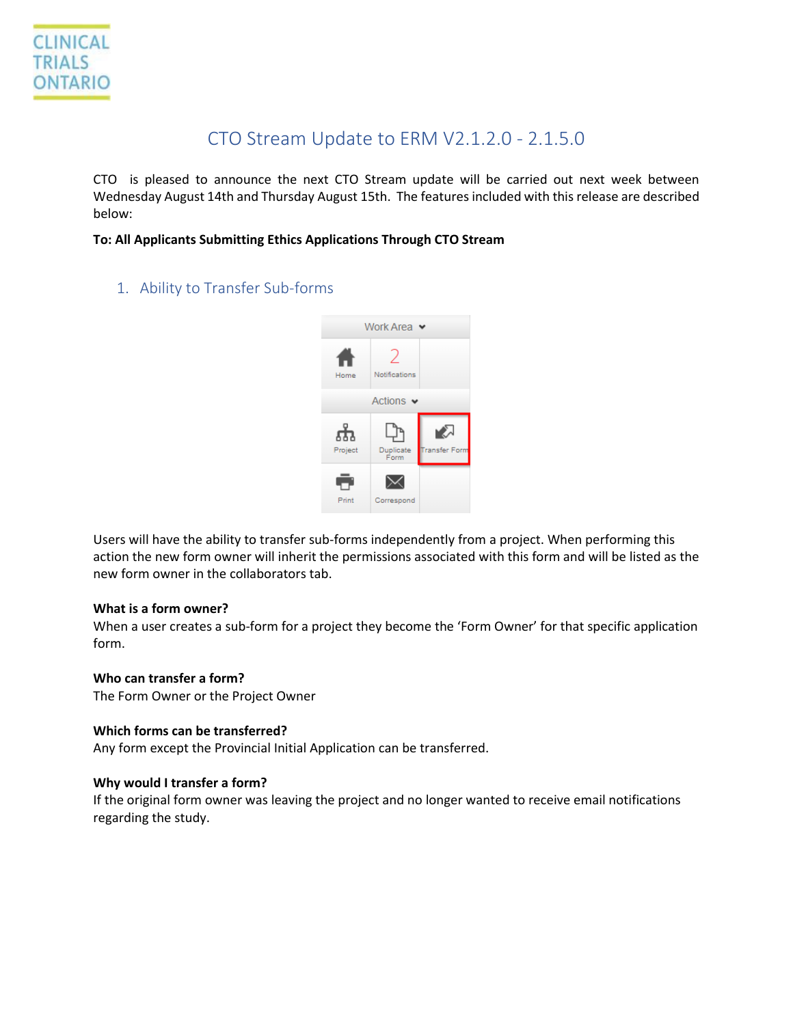# CTO Stream Update to ERM V2.1.2.0 - 2.1.5.0

CTO is pleased to announce the next CTO Stream update will be carried out next week between Wednesday August 14th and Thursday August 15th. The features included with this release are described below:

# **To: All Applicants Submitting Ethics Applications Through CTO Stream**

1. Ability to Transfer Sub-forms



Users will have the ability to transfer sub-forms independently from a project. When performing this action the new form owner will inherit the permissions associated with this form and will be listed as the new form owner in the collaborators tab.

## **What is a form owner?**

When a user creates a sub-form for a project they become the 'Form Owner' for that specific application form.

## **Who can transfer a form?**

The Form Owner or the Project Owner

## **Which forms can be transferred?**

Any form except the Provincial Initial Application can be transferred.

## **Why would I transfer a form?**

If the original form owner was leaving the project and no longer wanted to receive email notifications regarding the study.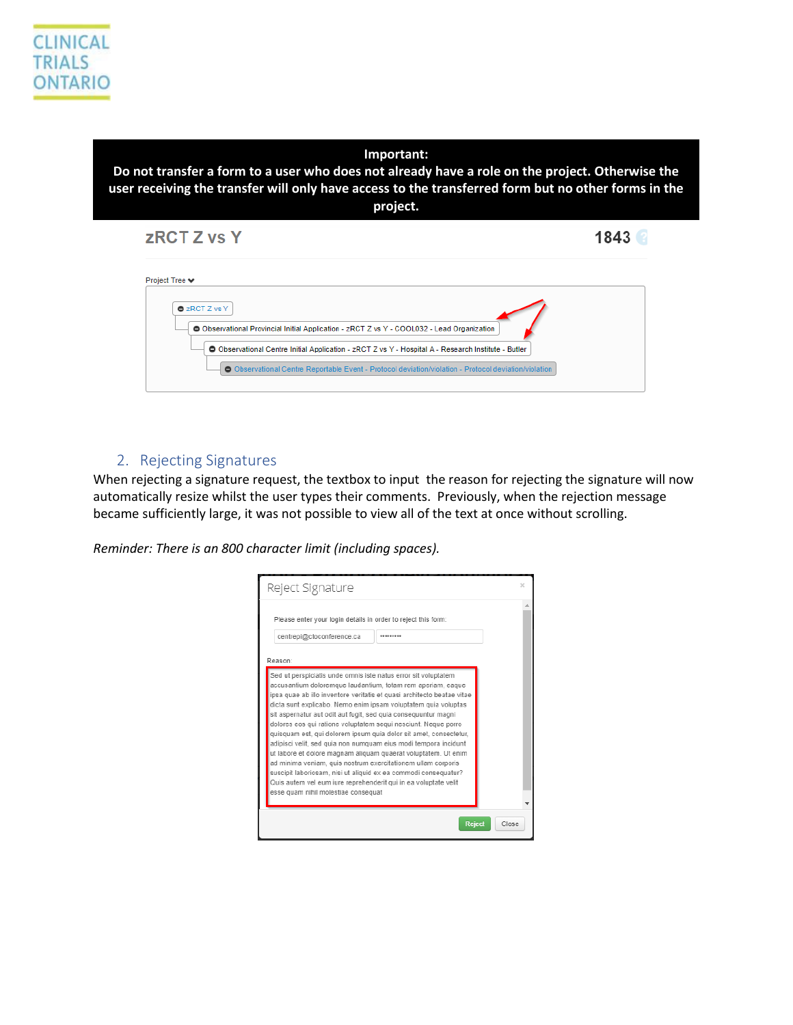#### **Important:**

**Do not transfer a form to a user who does not already have a role on the project. Otherwise the user receiving the transfer will only have access to the transferred form but no other forms in the project.**

| <b>ZRCT Z vs Y</b>                                                                                                                                                                                                  | 1843 |
|---------------------------------------------------------------------------------------------------------------------------------------------------------------------------------------------------------------------|------|
| Project Tree ♥                                                                                                                                                                                                      |      |
| <b>O</b> zRCT Z vs Y<br>Observational Provincial Initial Application - zRCT Z vs Y - COOL032 - Lead Organization                                                                                                    |      |
| <b>O</b> Observational Centre Initial Application - zRCT Z vs Y - Hospital A - Research Institute - Butler<br>O Observational Centre Reportable Event - Protocol deviation/violation - Protocol deviation/violation |      |

# 2. Rejecting Signatures

When rejecting a signature request, the textbox to input the reason for rejecting the signature will now automatically resize whilst the user types their comments. Previously, when the rejection message became sufficiently large, it was not possible to view all of the text at once without scrolling.

*Reminder: There is an 800 character limit (including spaces).* 

| Reject Signature                                                                                                                                                                                                                                                                                                                                                                                                                                                                                                                                                                                                                                                                                                                                                                                                                                                     | × |
|----------------------------------------------------------------------------------------------------------------------------------------------------------------------------------------------------------------------------------------------------------------------------------------------------------------------------------------------------------------------------------------------------------------------------------------------------------------------------------------------------------------------------------------------------------------------------------------------------------------------------------------------------------------------------------------------------------------------------------------------------------------------------------------------------------------------------------------------------------------------|---|
| Please enter your login details in order to reject this form:<br>centrepi@ctoconference.ca<br><br>Reason:                                                                                                                                                                                                                                                                                                                                                                                                                                                                                                                                                                                                                                                                                                                                                            |   |
| Sed ut perspiciatis unde omnis iste natus error sit voluptatem<br>accusantium doloremque laudantium, totam rem aperiam, eaque<br>ipsa quae ab illo inventore veritatis et quasi architecto beatae vitae<br>dicta sunt explicabo. Nemo enim ipsam voluptatem quia voluptas<br>sit aspernatur aut odit aut fugit, sed quia consequuntur magni<br>dolores eos qui ratione voluptatem sequi nesciunt. Neque porro<br>quisquam est, qui dolorem ipsum quia dolor sit amet, consectetur,<br>adipisci velit, sed quia non numquam eius modi tempora incidunt<br>ut labore et dolore magnam aliguam quaerat voluptatem. Ut enim<br>ad minima veniam, quis nostrum exercitationem ullam corporis<br>suscipit laboriosam, nisi ut aliquid ex ea commodi consequatur?<br>Quis autem vel eum iure reprehenderit qui in ea voluptate velit<br>esse quam nihil molestiae consequat |   |
| Reject<br>Close                                                                                                                                                                                                                                                                                                                                                                                                                                                                                                                                                                                                                                                                                                                                                                                                                                                      |   |